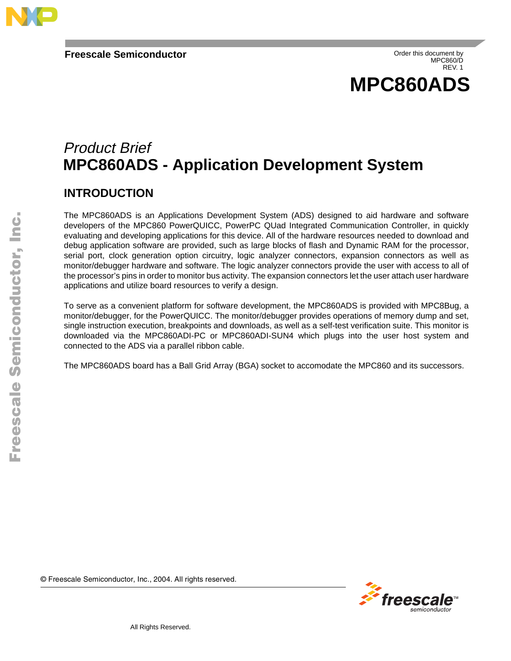

Order this document by MPC860/D REV. 1



# Product Brief **MPC860ADS - Application Development System**

### **INTRODUCTION**

of the MP-Coso PowerGutCC, PowerP-C Guad integrated Communication Continues in and developing applications for this device. All of the hardware resources needed to dow<br>and developing applications for this device. All of th The MPC860ADS is an Applications Development System (ADS) designed to aid hardware and software developers of the MPC860 PowerQUICC, PowerPC QUad Integrated Communication Controller, in quickly evaluating and developing applications for this device. All of the hardware resources needed to download and debug application software are provided, such as large blocks of flash and Dynamic RAM for the processor, serial port, clock generation option circuitry, logic analyzer connectors, expansion connectors as well as monitor/debugger hardware and software. The logic analyzer connectors provide the user with access to all of the processor's pins in order to monitor bus activity. The expansion connectors let the user attach user hardware applications and utilize board resources to verify a design.

To serve as a convenient platform for software development, the MPC860ADS is provided with MPC8Bug, a monitor/debugger, for the PowerQUICC. The monitor/debugger provides operations of memory dump and set, single instruction execution, breakpoints and downloads, as well as a self-test verification suite. This monitor is downloaded via the MPC860ADI-PC or MPC860ADI-SUN4 which plugs into the user host system and connected to the ADS via a parallel ribbon cable.

The MPC860ADS board has a Ball Grid Array (BGA) socket to accomodate the MPC860 and its successors.

© Freescale Semiconductor, Inc., 2004. All rights reserved.

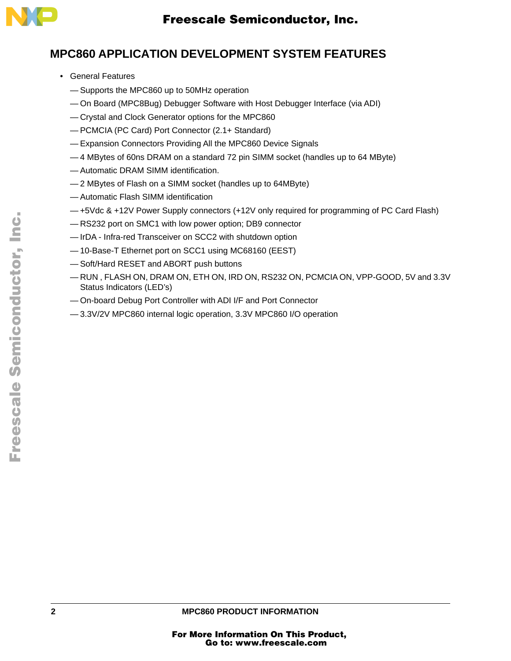

### **MPC860 APPLICATION DEVELOPMENT SYSTEM FEATURES**

- General Features
	- Supports the MPC860 up to 50MHz operation
	- On Board (MPC8Bug) Debugger Software with Host Debugger Interface (via ADI)
	- Crystal and Clock Generator options for the MPC860
	- PCMCIA (PC Card) Port Connector (2.1+ Standard)
	- Expansion Connectors Providing All the MPC860 Device Signals
	- 4 MBytes of 60ns DRAM on a standard 72 pin SIMM socket (handles up to 64 MByte)
	- Automatic DRAM SIMM identification.
	- 2 MBytes of Flash on a SIMM socket (handles up to 64MByte)
	- Automatic Flash SIMM identification
	- +5Vdc & +12V Power Supply connectors (+12V only required for programming of PC Card Flash)
	- RS232 port on SMC1 with low power option; DB9 connector
	- IrDA Infra-red Transceiver on SCC2 with shutdown option
	- 10-Base-T Ethernet port on SCC1 using MC68160 (EEST)
	- Soft/Hard RESET and ABORT push buttons
	- Bytes of 60ns DRAM on a standard 72 pin SIMM socket (handles up to 64 MByte)<br>comatic DRAM SIMM identification.<br>Bytes of Flash on a SIMM socket (handles up to 64MByte)<br>comatic Flash SIMM identification<br>of the 4-12V Power Su — RUN , FLASH ON, DRAM ON, ETH ON, IRD ON, RS232 ON, PCMCIA ON, VPP-GOOD, 5V and 3.3V Status Indicators (LED's)
	- On-board Debug Port Controller with ADI I/F and Port Connector
	- 3.3V/2V MPC860 internal logic operation, 3.3V MPC860 I/O operation

.<br>ق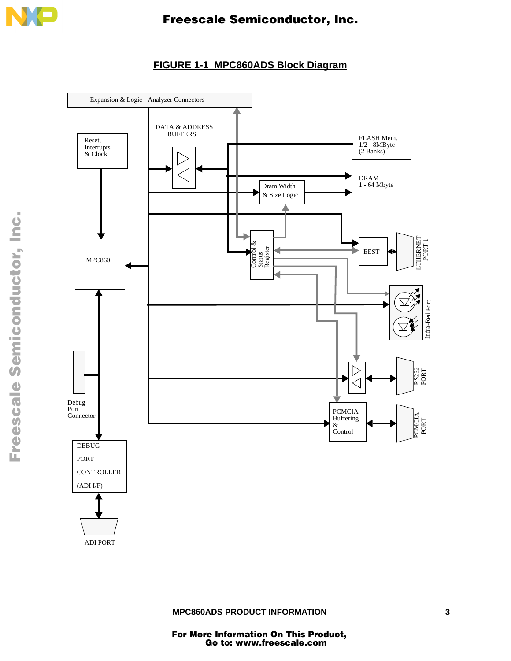

# Freescale Semiconductor, Inc.